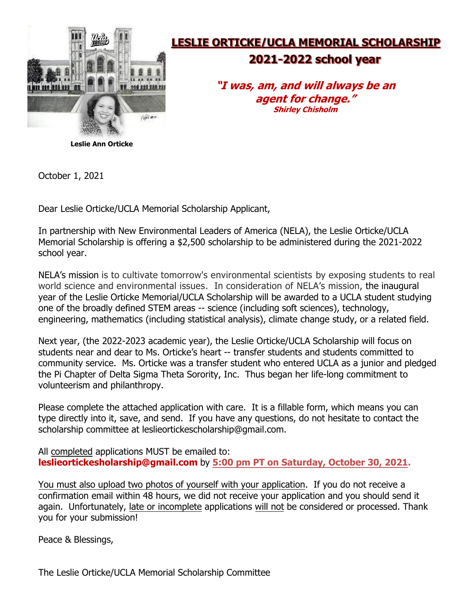

## **LESLIE ORTICKE/UCLA MEMORIAL SCHOLARSHIP** 2021-2022 school year

**"I was, am, and will always be an agent for change." Shirley Chisholm**

**Leslie Ann Orticke**

October 1, 2021

Dear Leslie Orticke/UCLA Memorial Scholarship Applicant,

In partnership with New Environmental Leaders of America (NELA), the Leslie Orticke/UCLA Memorial Scholarship is offering a \$2,500 scholarship to be administered during the 2021-2022 school year.

NELA's mission is to cultivate tomorrow's environmental scientists by exposing students to real world science and environmental issues. In consideration of NELA's mission, the inaugural year of the Leslie Orticke Memorial/UCLA Scholarship will be awarded to a UCLA student studying one of the broadly defined STEM areas -- science (including soft sciences), technology, engineering, mathematics (including statistical analysis), climate change study, or a related field.

Next year, (the 2022-2023 academic year), the Leslie Orticke/UCLA Scholarship will focus on students near and dear to Ms. Orticke's heart -- transfer students and students committed to community service. Ms. Orticke was a transfer student who entered UCLA as a junior and pledged the Pi Chapter of Delta Sigma Theta Sorority, Inc. Thus began her life-long commitment to volunteerism and philanthropy.

Please complete the attached application with care. It is a fillable form, which means you can type directly into it, save, and send. If you have any questions, do not hesitate to contact the scholarship committee at leslieortickescholarship@gmail.com.

All completed applications MUST be emailed to: **leslieortickesholarship@gmail.com** by **5:00 pm PT on Saturday, October 30, 2021.**

You must also upload two photos of yourself with your application. If you do not receive a confirmation email within 48 hours, we did not receive your application and you should send it again. Unfortunately, late or incomplete applications will not be considered or processed. Thank you for your submission!

Peace & Blessings,

The Leslie Orticke/UCLA Memorial Scholarship Committee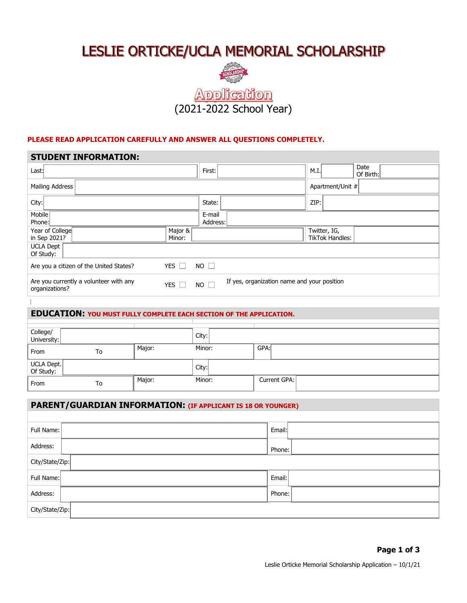# LESLIE ORTICKE/UCLA MEMORIAL SCHOLARSHIP



### **PLEASE READ APPLICATION CAREFULLY AND ANSWER ALL QUESTIONS COMPLETELY.**

 $\mathbf{I}$ 

| <b>STUDENT INFORMATION:</b>                                                                                                          |                   |                    |  |      |                                        |                   |  |
|--------------------------------------------------------------------------------------------------------------------------------------|-------------------|--------------------|--|------|----------------------------------------|-------------------|--|
| Last:                                                                                                                                |                   | First:             |  | M.I. |                                        | Date<br>Of Birth: |  |
| Mailing Address                                                                                                                      |                   |                    |  |      | Apartment/Unit #                       |                   |  |
| City:                                                                                                                                |                   | State:             |  | ZIP: |                                        |                   |  |
| Mobile<br>Phone:                                                                                                                     |                   | E-mail<br>Address: |  |      |                                        |                   |  |
| Year of College<br>in Sep 2021?                                                                                                      | Major &<br>Minor: |                    |  |      | Twitter, IG,<br><b>TikTok Handles:</b> |                   |  |
| <b>UCLA Dept</b><br>Of Study:                                                                                                        |                   |                    |  |      |                                        |                   |  |
| Are you a citizen of the United States?                                                                                              | YES               | NO <sub>1</sub>    |  |      |                                        |                   |  |
| Are you currently a volunteer with any<br>If yes, organization name and your position<br>$NO$ $\Box$<br><b>YES</b><br>organizations? |                   |                    |  |      |                                        |                   |  |

| <b>EDUCATION: YOU MUST FULLY COMPLETE EACH SECTION OF THE APPLICATION.</b> |    |        |        |              |  |
|----------------------------------------------------------------------------|----|--------|--------|--------------|--|
|                                                                            |    |        |        |              |  |
| College/<br>University:                                                    |    |        | City:  |              |  |
| From                                                                       | To | Major: | Minor: | GPA:         |  |
| UCLA Dept.<br>Of Study:                                                    |    |        | City:  |              |  |
| From                                                                       | To | Major: | Minor: | Current GPA: |  |

| <b>PARENT/GUARDIAN INFORMATION: (IF APPLICANT IS 18 OR YOUNGER)</b> |  |        |  |  |  |
|---------------------------------------------------------------------|--|--------|--|--|--|
|                                                                     |  |        |  |  |  |
| Full Name:                                                          |  | Email: |  |  |  |
| Address:                                                            |  | Phone: |  |  |  |
| City/State/Zip:                                                     |  |        |  |  |  |
| Full Name:                                                          |  | Email: |  |  |  |
| Address:                                                            |  | Phone: |  |  |  |
| City/State/Zip:                                                     |  |        |  |  |  |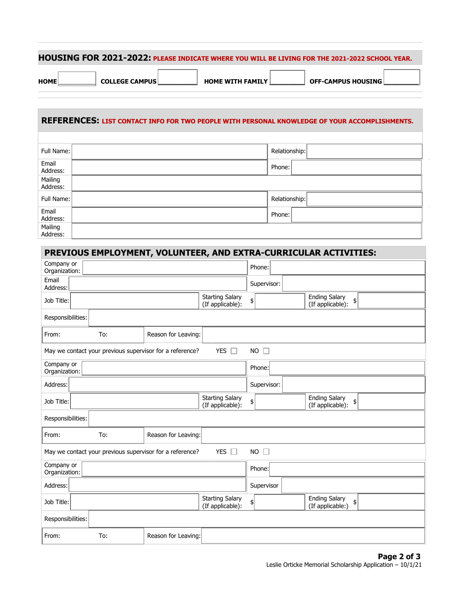| HOUSING FOR 2021-2022: PLEASE INDICATE WHERE YOU WILL BE LIVING FOR THE 2021-2022 SCHOOL YEAR. |  |
|------------------------------------------------------------------------------------------------|--|
|------------------------------------------------------------------------------------------------|--|

**HOME** \_\_\_\_\_\_\_\_\_\_\_ **COLLEGE CAMPUS \_\_\_\_\_\_\_\_\_\_ HOME WITH FAMILY \_\_\_\_\_\_\_\_\_ OFF-CAMPUS HOUSING \_\_\_\_\_\_\_\_\_**

## **REFERENCES: LIST CONTACT INFO FOR TWO PEOPLE WITH PERSONAL KNOWLEDGE OF YOUR ACCOMPLISHMENTS.**

| Full Name:          | Relationship: |
|---------------------|---------------|
| Email<br>Address:   | Phone:        |
| Mailing<br>Address: |               |
| Full Name:          | Relationship: |
| Email<br>Address:   | Phone:        |
| Mailing<br>Address: |               |

#### **PREVIOUS EMPLOYMENT, VOLUNTEER, AND EXTRA-CURRICULAR ACTIVITIES:** Company or Organization: Phone: Email Address: Supervisor: Job Title: Starting Salary (If applicable):  $\left| \right\rangle$ Ending Salary (If applicable): \$ Responsibilities: From: To: Reason for Leaving: May we contact your previous supervisor for a reference? YES  $\Box$  NO  $\Box$ Company or Organization: Phone: Address: Supervisor: Supervisor: Supervisor: Supervisor: Supervisor: Supervisor: Supervisor: Supervisor: Supervisor: Supervisor: Supervisor: Supervisor: Supervisor: Supervisor: Supervisor: Supervisor: Supervisor: Superviso Job Title: Starting Salary (If applicable):  $\left| \right\rangle$ Ending Salary (If applicable): \$ Responsibilities: From: To: Reason for Leaving: May we contact your previous supervisor for a reference?  $YES \Box$  NO  $\Box$ Company or Organization: Phone: Address: Supervisor Job Title: Starting Salary (If applicable): \$ Ending Salary (If applicable:) \$ Responsibilities: From: To: Reason for Leaving: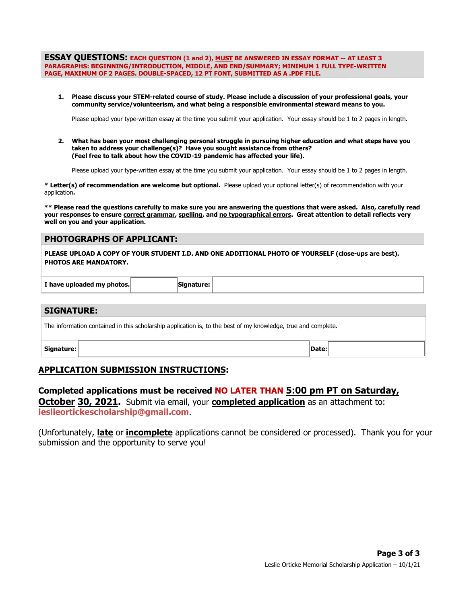**ESSAY QUESTIONS: EACH QUESTION (1 and 2), MUST BE ANSWERED IN ESSAY FORMAT -- AT LEAST 3 PARAGRAPHS: BEGINNING/INTRODUCTION, MIDDLE, AND END/SUMMARY; MINIMUM 1 FULL TYPE-WRITTEN PAGE, MAXIMUM OF 2 PAGES. DOUBLE-SPACED, 12 PT FONT, SUBMITTED AS A .PDF FILE.**

**1. Please discuss your STEM-related course of study. Please include a discussion of your professional goals, your community service/volunteerism, and what being a responsible environmental steward means to you.**

Please upload your type-written essay at the time you submit your application. Your essay should be 1 to 2 pages in length.

**2. What has been your most challenging personal struggle in pursuing higher education and what steps have you taken to address your challenge(s)? Have you sought assistance from others? (Feel free to talk about how the COVID-19 pandemic has affected your life).**

Please upload your type-written essay at the time you submit your application. Your essay should be 1 to 2 pages in length.

**\* Letter(s) of recommendation are welcome but optional.** Please upload your optional letter(s) of recommendation with your application**.**

**\*\* Please read the questions carefully to make sure you are answering the questions that were asked. Also, carefully read your responses to ensure correct grammar, spelling, and no typographical errors. Great attention to detail reflects very well on you and your application.** 

## **PHOTOGRAPHS OF APPLICANT:**

**PLEASE UPLOAD A COPY OF YOUR STUDENT I.D. AND ONE ADDITIONAL PHOTO OF YOURSELF (close-ups are best). PHOTOS ARE MANDATORY.** 

| I have uploaded my photos. | Signature: |
|----------------------------|------------|
|                            |            |

### **SIGNATURE:**

The information contained in this scholarship application is, to the best of my knowledge, true and complete.

**Signature: Date:**

## **APPLICATION SUBMISSION INSTRUCTIONS:**

**Completed applications must be received NO LATER THAN 5:00 pm PT on Saturday, October 30, 2021.** Submit via email, your **completed application** as an attachment to: **leslieortickescholarship@gmail.com**.

(Unfortunately, **late** or **incomplete** applications cannot be considered or processed). Thank you for your submission and the opportunity to serve you!